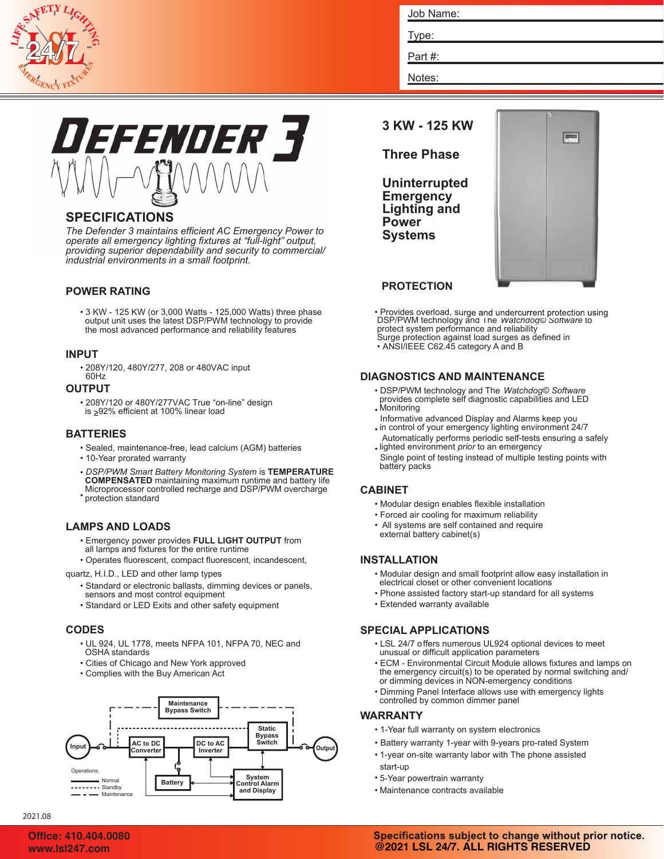

| Job Name: |  |  |
|-----------|--|--|
| Type:     |  |  |
| Part#:    |  |  |

Notes: Part #:

# Defender 3

# **SPECIFICATIONS**

*The Defender 3 maintains efficient AC Emergency Power to operate all emergency lighting fixtures at "full-light" output, providing superior dependability and security to commercial/ industrial environments in a small footprint.*

# **POWER RATING**

• 3 KW - 125 KW (or 3,000 Watts - 125,000 Watts) three phase output unit uses the latest DSP/PWM technology to provide the most advanced performance and reliability features

### **INPUT**

• 208Y/120, 480Y/277, 208 or 480VAC input 60Hz

### **OUTPUT**

• 208Y/120 or 480Y/277VAC True "on-line" design is ≥92% efficient at 100% linear load

## **BATTERIES**

- Sealed, maintenance-free, lead calcium (AGM) batteries
- 10-Year prorated warranty
- *DSP/PWM Smart Battery Monitoring System* is **TEMPERATURE** • protection standard **COMPENSATED** maintaining maximum runtime and battery life Microprocessor controlled recharge and DSP/PWM overcharge

# **LAMPS AND LOADS**

- Emergency power provides **FULL LIGHT OUTPUT** from all lamps and fixtures for the entire runtime
- Operates fluorescent, compact fluorescent, incandescent,

### quartz, H.I.D., LED and other lamp types

- Standard or electronic ballasts, dimming devices or panels, sensors and most control equipment
- Standard or LED Exits and other safety equipment

# **CODES**

- UL 924, UL 1778, meets NFPA 101, NFPA 70, NEC and OSHA standards
- Cities of Chicago and New York approved
- Complies with the Buy American Act



# **3 KW - 125 KW**

# **Three Phase**

**Uninterrupted Emergency Lighting and Power Systems**



# **PROTECTION**

- Provides overload, surge and undercurrent protection using DSP/PWM technology and The *Watchdog© Software* to protect system performance and reliability Surge protection against load surges as defined in
- ANSI/IEEE C62.45 category A and B

# **DIAGNOSTICS AND MAINTENANCE**

- • DSP/PWM technology and The *Watchdog© Software* provides complete self diagnostic capabilities and LED Monitoring
- Informative advanced Display and Alarms keep you
- • lighted environment *prior* to an emergency in control of your emergency lighting environment 24/7 Automatically performs periodic self-tests ensuring a safely
- Single point of testing instead of multiple testing points with battery packs

# **CABINET**

- Modular design enables flexible installation
- Forced air cooling for maximum reliability
- All systems are self contained and require external battery cabinet(s)

# **INSTALLATION**

- Modular design and small footprint allow easy installation in electrical closet or other convenient locations
- Phone assisted factory start-up standard for all systems
- Extended warranty available

# **SPECIAL APPLICATIONS**

- LSL 24/7 offers numerous UL924 optional devices to meet unusual or difficult application parameters
- ECM Environmental Circuit Module allows fixtures and lamps on the emergency circuit(s) to be operated by normal switching and/ or dimming devices in NON-emergency conditions
- Dimming Panel Interface allows use with emergency lights controlled by common dimmer panel

### **WARRANTY**

- 1-Year full warranty on system electronics
- Battery warranty 1-year with 9-years pro-rated System
- 1-year on-site warranty labor with The phone assisted start-up
- 5-Year powertrain warranty
- Maintenance contracts available